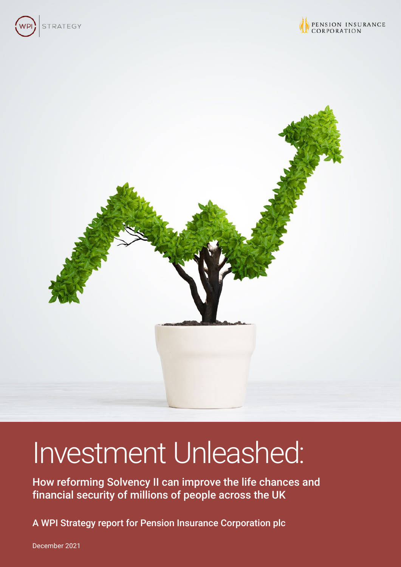





# Investment Unleashed:

How reforming Solvency II can improve the life chances and financial security of millions of people across the UK

A WPI Strategy report for Pension Insurance Corporation plc

December 2021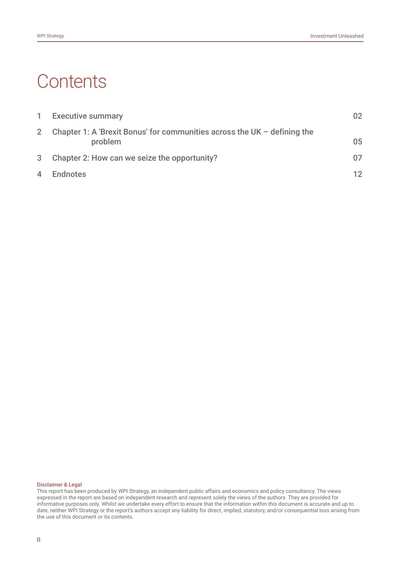# **Contents**

| $\mathbf{1}$   | <b>Executive summary</b>                                                              | 02 |
|----------------|---------------------------------------------------------------------------------------|----|
| 2 <sup>1</sup> | Chapter 1: A 'Brexit Bonus' for communities across the UK $-$ defining the<br>problem | 05 |
| 3 <sup>1</sup> | Chapter 2: How can we seize the opportunity?                                          | 07 |
| $\overline{4}$ | Endnotes                                                                              | 12 |

#### Disclaimer & Legal

This report has been produced by WPI Strategy, an independent public affairs and economics and policy consultancy. The views expressed in the report are based on independent research and represent solely the views of the authors. They are provided for informative purposes only. Whilst we undertake every effort to ensure that the information within this document is accurate and up to date, neither WPI Strategy or the report's authors accept any liability for direct, implied, statutory, and/or consequential loss arising from the use of this document or its contents.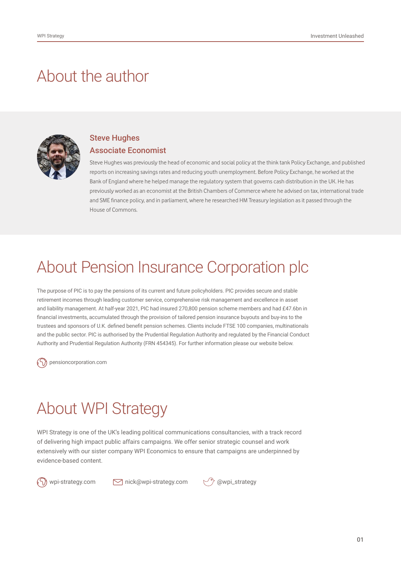### About the author



#### Steve Hughes Associate Economist

Steve Hughes was previously the head of economic and social policy at the think tank Policy Exchange, and published reports on increasing savings rates and reducing youth unemployment. Before Policy Exchange, he worked at the Bank of England where he helped manage the regulatory system that governs cash distribution in the UK. He has previously worked as an economist at the British Chambers of Commerce where he advised on tax, international trade and SME finance policy, and in parliament, where he researched HM Treasury legislation as it passed through the House of Commons.

### About Pension Insurance Corporation plc

The purpose of PIC is to pay the pensions of its current and future policyholders. PIC provides secure and stable retirement incomes through leading customer service, comprehensive risk management and excellence in asset and liability management. At half-year 2021, PIC had insured 270,800 pension scheme members and had £47.6bn in financial investments, accumulated through the provision of tailored pension insurance buyouts and buy-ins to the trustees and sponsors of U.K. defined benefit pension schemes. Clients include FTSE 100 companies, multinationals and the public sector. PIC is authorised by the Prudential Regulation Authority and regulated by the Financial Conduct Authority and Prudential Regulation Authority (FRN 454345). For further information please our website below.

[pensioncorporation.com](http://www.pensioncorporation.com)

# About WPI Strategy

WPI Strategy is one of the UK's leading political communications consultancies, with a track record of delivering high impact public affairs campaigns. We offer senior strategic counsel and work extensively with our sister company WPI Economics to ensure that campaigns are underpinned by evidence-based content.

wpi-strategy.com  $\Box$  nick@wpi-strategy.com  $\Box$  @wpi\_strategy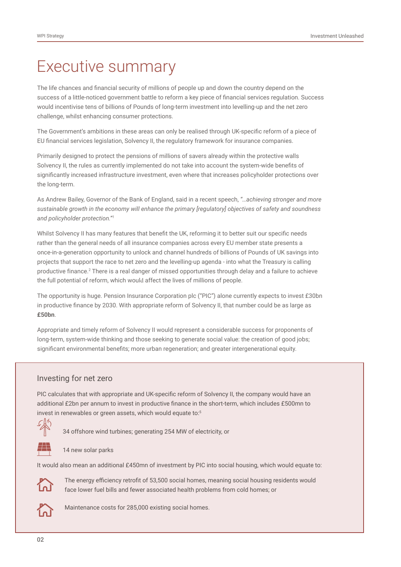### Executive summary

The life chances and financial security of millions of people up and down the country depend on the success of a little-noticed government battle to reform a key piece of financial services regulation. Success would incentivise tens of billions of Pounds of long-term investment into levelling-up and the net zero challenge, whilst enhancing consumer protections.

The Government's ambitions in these areas can only be realised through UK-specific reform of a piece of EU financial services legislation, Solvency II, the regulatory framework for insurance companies.

Primarily designed to protect the pensions of millions of savers already within the protective walls Solvency II, the rules as currently implemented do not take into account the system-wide benefits of significantly increased infrastructure investment, even where that increases policyholder protections over the long-term.

As Andrew Bailey, Governor of the Bank of England, said in a recent speech, *"…achieving stronger and more sustainable growth in the economy will enhance the primary [regulatory] objectives of safety and soundness and policyholder protection." 1*

Whilst Solvency II has many features that benefit the UK, reforming it to better suit our specific needs rather than the general needs of all insurance companies across every EU member state presents a once-in-a-generation opportunity to unlock and channel hundreds of billions of Pounds of UK savings into projects that support the race to net zero and the levelling-up agenda - into what the Treasury is calling productive finance.<sup>2</sup> There is a real danger of missed opportunities through delay and a failure to achieve the full potential of reform, which would affect the lives of millions of people.

The opportunity is huge. Pension Insurance Corporation plc ("PIC") alone currently expects to invest £30bn in productive finance by 2030. With appropriate reform of Solvency II, that number could be as large as **£50bn**.

Appropriate and timely reform of Solvency II would represent a considerable success for proponents of long-term, system-wide thinking and those seeking to generate social value: the creation of good jobs; significant environmental benefits; more urban regeneration; and greater intergenerational equity.

#### Investing for net zero

PIC calculates that with appropriate and UK-specific reform of Solvency II, the company would have an additional £2bn per annum to invest in productive finance in the short-term, which includes £500mn to invest in renewables or green assets, which would equate to:<sup>5</sup>



34 offshore wind turbines; generating 254 MW of electricity, or

14 new solar parks

It would also mean an additional £450mn of investment by PIC into social housing, which would equate to:



The energy efficiency retrofit of 53,500 social homes, meaning social housing residents would face lower fuel bills and fewer associated health problems from cold homes; or



Maintenance costs for 285,000 existing social homes.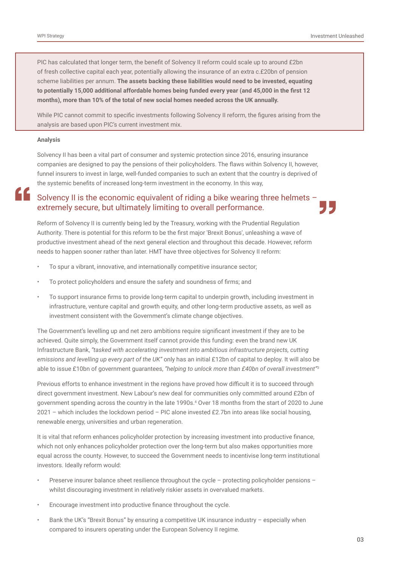PIC has calculated that longer term, the benefit of Solvency II reform could scale up to around £2bn of fresh collective capital each year, potentially allowing the insurance of an extra c.£20bn of pension scheme liabilities per annum. **The assets backing these liabilities would need to be invested, equating to potentially 15,000 additional affordable homes being funded every year (and 45,000 in the first 12 months), more than 10% of the total of new social homes needed across the UK annually.** 

While PIC cannot commit to specific investments following Solvency II reform, the figures arising from the analysis are based upon PIC's current investment mix.

#### **Analysis**

Solvency II has been a vital part of consumer and systemic protection since 2016, ensuring insurance companies are designed to pay the pensions of their policyholders. The flaws within Solvency II, however, funnel insurers to invest in large, well-funded companies to such an extent that the country is deprived of the systemic benefits of increased long-term investment in the economy. In this way,

#### " Solvency II is the economic equivalent of riding a bike wearing three helmets – extremely secure, but ultimately limiting to overall performance.

Reform of Solvency II is currently being led by the Treasury, working with the Prudential Regulation Authority. There is potential for this reform to be the first major 'Brexit Bonus', unleashing a wave of productive investment ahead of the next general election and throughout this decade. However, reform needs to happen sooner rather than later. HMT have three objectives for Solvency II reform:

- To spur a vibrant, innovative, and internationally competitive insurance sector;
- To protect policyholders and ensure the safety and soundness of firms; and
- To support insurance firms to provide long-term capital to underpin growth, including investment in infrastructure, venture capital and growth equity, and other long-term productive assets, as well as investment consistent with the Government's climate change objectives.

The Government's levelling up and net zero ambitions require significant investment if they are to be achieved. Quite simply, the Government itself cannot provide this funding: even the brand new UK Infrastructure Bank, *"tasked with accelerating investment into ambitious infrastructure projects, cutting emissions and levelling up every part of the UK"* only has an initial £12bn of capital to deploy. It will also be able to issue £10bn of government guarantees, *"helping to unlock more than £40bn of overall investment"*<sup>3</sup>

Previous efforts to enhance investment in the regions have proved how difficult it is to succeed through direct government investment. New Labour's new deal for communities only committed around £2bn of government spending across the country in the late 1990s.4 Over 18 months from the start of 2020 to June 2021 – which includes the lockdown period – PIC alone invested £2.7bn into areas like social housing, renewable energy, universities and urban regeneration.

It is vital that reform enhances policyholder protection by increasing investment into productive finance, which not only enhances policyholder protection over the long-term but also makes opportunities more equal across the county. However, to succeed the Government needs to incentivise long-term institutional investors. Ideally reform would:

- Preserve insurer balance sheet resilience throughout the cycle protecting policyholder pensions whilst discouraging investment in relatively riskier assets in overvalued markets.
- Encourage investment into productive finance throughout the cycle.
- Bank the UK's "Brexit Bonus" by ensuring a competitive UK insurance industry especially when compared to insurers operating under the European Solvency II regime.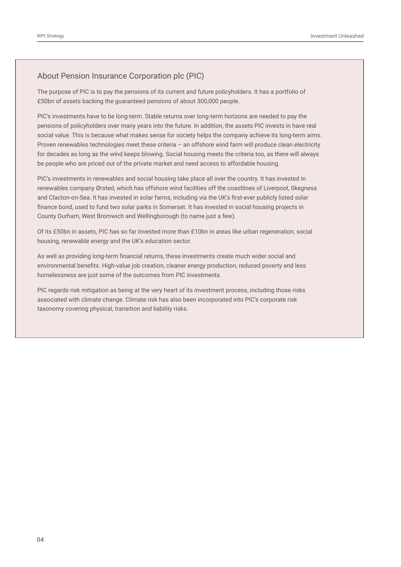#### About Pension Insurance Corporation plc (PIC)

The purpose of PIC is to pay the pensions of its current and future policyholders. It has a portfolio of £50bn of assets backing the guaranteed pensions of about 300,000 people.

PIC's investments have to be long-term. Stable returns over long-term horizons are needed to pay the pensions of policyholders over many years into the future. In addition, the assets PIC invests in have real social value. This is because what makes sense for society helps the company achieve its long-term aims. Proven renewables technologies meet these criteria – an offshore wind farm will produce clean electricity for decades as long as the wind keeps blowing. Social housing meets the criteria too, as there will always be people who are priced out of the private market and need access to affordable housing.

PIC's investments in renewables and social housing take place all over the country. It has invested in renewables company Ørsted, which has offshore wind facilities off the coastlines of Liverpool, Skegness and Clacton-on-Sea. It has invested in solar farms, including via the UK's first-ever publicly listed solar finance bond, used to fund two solar parks in Somerset. It has invested in social housing projects in County Durham, West Bromwich and Wellingborough (to name just a few).

Of its £50bn in assets, PIC has so far invested more than £10bn in areas like urban regeneration, social housing, renewable energy and the UK's education sector.

As well as providing long-term financial returns, these investments create much wider social and environmental benefits. High-value job creation, cleaner energy production, reduced poverty and less homelessness are just some of the outcomes from PIC investments.

PIC regards risk mitigation as being at the very heart of its investment process, including those risks associated with climate change. Climate risk has also been incorporated into PIC's corporate risk taxonomy covering physical, transition and liability risks.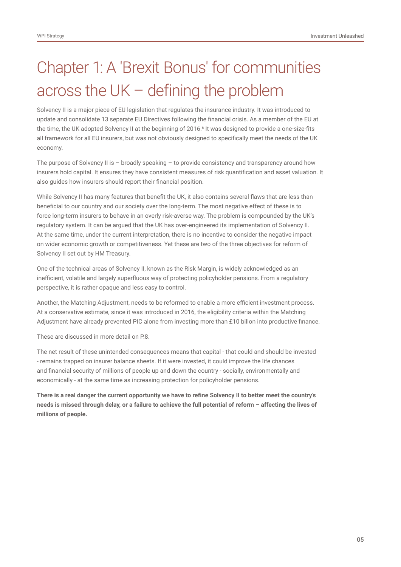# Chapter 1: A 'Brexit Bonus' for communities across the UK – defining the problem

Solvency II is a major piece of EU legislation that regulates the insurance industry. It was introduced to update and consolidate 13 separate EU Directives following the financial crisis. As a member of the EU at the time, the UK adopted Solvency II at the beginning of 2016.6 It was designed to provide a one-size-fits all framework for all EU insurers, but was not obviously designed to specifically meet the needs of the UK economy.

The purpose of Solvency II is – broadly speaking – to provide consistency and transparency around how insurers hold capital. It ensures they have consistent measures of risk quantification and asset valuation. It also guides how insurers should report their financial position.

While Solvency II has many features that benefit the UK, it also contains several flaws that are less than beneficial to our country and our society over the long-term. The most negative effect of these is to force long-term insurers to behave in an overly risk-averse way. The problem is compounded by the UK's regulatory system. It can be argued that the UK has over-engineered its implementation of Solvency II. At the same time, under the current interpretation, there is no incentive to consider the negative impact on wider economic growth or competitiveness. Yet these are two of the three objectives for reform of Solvency II set out by HM Treasury.

One of the technical areas of Solvency II, known as the Risk Margin, is widely acknowledged as an inefficient, volatile and largely superfluous way of protecting policyholder pensions. From a regulatory perspective, it is rather opaque and less easy to control.

Another, the Matching Adjustment, needs to be reformed to enable a more efficient investment process. At a conservative estimate, since it was introduced in 2016, the eligibility criteria within the Matching Adjustment have already prevented PIC alone from investing more than £10 billon into productive finance.

These are discussed in more detail on P.8.

The net result of these unintended consequences means that capital - that could and should be invested - remains trapped on insurer balance sheets. If it were invested, it could improve the life chances and financial security of millions of people up and down the country - socially, environmentally and economically - at the same time as increasing protection for policyholder pensions.

**There is a real danger the current opportunity we have to refine Solvency II to better meet the country's needs is missed through delay, or a failure to achieve the full potential of reform – affecting the lives of millions of people.**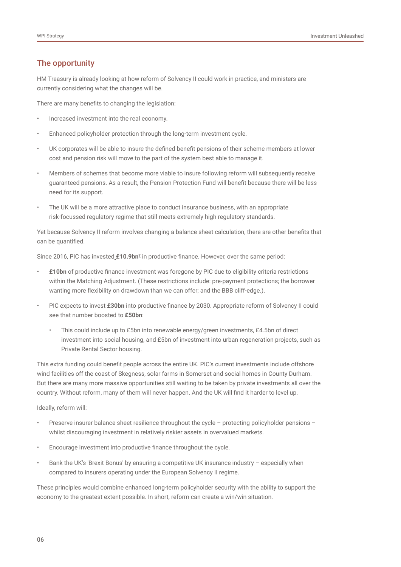#### The opportunity

HM Treasury is already looking at how reform of Solvency II could work in practice, and ministers are currently considering what the changes will be.

There are many benefits to changing the legislation:

- Increased investment into the real economy.
- Enhanced policyholder protection through the long-term investment cycle.
- UK corporates will be able to insure the defined benefit pensions of their scheme members at lower cost and pension risk will move to the part of the system best able to manage it.
- Members of schemes that become more viable to insure following reform will subsequently receive guaranteed pensions. As a result, the Pension Protection Fund will benefit because there will be less need for its support.
- The UK will be a more attractive place to conduct insurance business, with an appropriate risk-focussed regulatory regime that still meets extremely high regulatory standards.

Yet because Solvency II reform involves changing a balance sheet calculation, there are other benefits that can be quantified.

Since 2016, PIC has invested **£10.9bn<sup>7</sup>** in productive finance. However, over the same period:

- **£10bn** of productive finance investment was foregone by PIC due to eligibility criteria restrictions within the Matching Adjustment. (These restrictions include: pre-payment protections; the borrower wanting more flexibility on drawdown than we can offer; and the BBB cliff-edge.).
- PIC expects to invest **£30bn** into productive finance by 2030. Appropriate reform of Solvency II could see that number boosted to **£50bn**:
	- This could include up to £5bn into renewable energy/green investments, £4.5bn of direct investment into social housing, and £5bn of investment into urban regeneration projects, such as Private Rental Sector housing.

This extra funding could benefit people across the entire UK. PIC's current investments include offshore wind facilities off the coast of Skegness, solar farms in Somerset and social homes in County Durham. But there are many more massive opportunities still waiting to be taken by private investments all over the country. Without reform, many of them will never happen. And the UK will find it harder to level up.

#### Ideally, reform will:

- Preserve insurer balance sheet resilience throughout the cycle protecting policyholder pensions whilst discouraging investment in relatively riskier assets in overvalued markets.
- Encourage investment into productive finance throughout the cycle.
- Bank the UK's 'Brexit Bonus' by ensuring a competitive UK insurance industry especially when compared to insurers operating under the European Solvency II regime.

These principles would combine enhanced long-term policyholder security with the ability to support the economy to the greatest extent possible. In short, reform can create a win/win situation.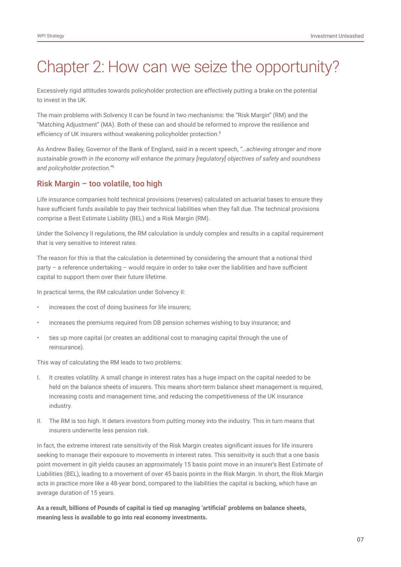## Chapter 2: How can we seize the opportunity?

Excessively rigid attitudes towards policyholder protection are effectively putting a brake on the potential to invest in the UK.

The main problems with Solvency II can be found in two mechanisms: the "Risk Margin" (RM) and the "Matching Adjustment" (MA). Both of these can and should be reformed to improve the resilience and efficiency of UK insurers without weakening policyholder protection.<sup>8</sup>

As Andrew Bailey, Governor of the Bank of England, said in a recent speech, *"…achieving stronger and more sustainable growth in the economy will enhance the primary [regulatory] objectives of safety and soundness and policyholder protection."*<sup>9</sup>

#### Risk Margin – too volatile, too high

Life insurance companies hold technical provisions (reserves) calculated on actuarial bases to ensure they have sufficient funds available to pay their technical liabilities when they fall due. The technical provisions comprise a Best Estimate Liability (BEL) and a Risk Margin (RM).

Under the Solvency II regulations, the RM calculation is unduly complex and results in a capital requirement that is very sensitive to interest rates.

The reason for this is that the calculation is determined by considering the amount that a notional third party – a reference undertaking – would require in order to take over the liabilities and have sufficient capital to support them over their future lifetime.

In practical terms, the RM calculation under Solvency II:

- increases the cost of doing business for life insurers;
- increases the premiums required from DB pension schemes wishing to buy insurance; and
- ties up more capital (or creates an additional cost to managing capital through the use of reinsurance).

This way of calculating the RM leads to two problems:

- I. It creates volatility. A small change in interest rates has a huge impact on the capital needed to be held on the balance sheets of insurers. This means short-term balance sheet management is required, increasing costs and management time, and reducing the competitiveness of the UK insurance industry.
- II. The RM is too high. It deters investors from putting money into the industry. This in turn means that insurers underwrite less pension risk.

In fact, the extreme interest rate sensitivity of the Risk Margin creates significant issues for life insurers seeking to manage their exposure to movements in interest rates. This sensitivity is such that a one basis point movement in gilt yields causes an approximately 15 basis point move in an insurer's Best Estimate of Liabilities (BEL), leading to a movement of over 45 basis points in the Risk Margin. In short, the Risk Margin acts in practice more like a 48-year bond, compared to the liabilities the capital is backing, which have an average duration of 15 years.

**As a result, billions of Pounds of capital is tied up managing 'artificial' problems on balance sheets, meaning less is available to go into real economy investments.**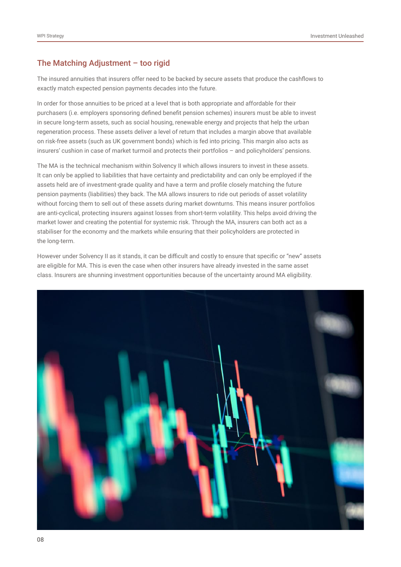#### The Matching Adjustment – too rigid

The insured annuities that insurers offer need to be backed by secure assets that produce the cashflows to exactly match expected pension payments decades into the future.

In order for those annuities to be priced at a level that is both appropriate and affordable for their purchasers (i.e. employers sponsoring defined benefit pension schemes) insurers must be able to invest in secure long-term assets, such as social housing, renewable energy and projects that help the urban regeneration process. These assets deliver a level of return that includes a margin above that available on risk-free assets (such as UK government bonds) which is fed into pricing. This margin also acts as insurers' cushion in case of market turmoil and protects their portfolios – and policyholders' pensions.

The MA is the technical mechanism within Solvency II which allows insurers to invest in these assets. It can only be applied to liabilities that have certainty and predictability and can only be employed if the assets held are of investment-grade quality and have a term and profile closely matching the future pension payments (liabilities) they back. The MA allows insurers to ride out periods of asset volatility without forcing them to sell out of these assets during market downturns. This means insurer portfolios are anti-cyclical, protecting insurers against losses from short-term volatility. This helps avoid driving the market lower and creating the potential for systemic risk. Through the MA, insurers can both act as a stabiliser for the economy and the markets while ensuring that their policyholders are protected in the long-term.

However under Solvency II as it stands, it can be difficult and costly to ensure that specific or "new" assets are eligible for MA. This is even the case when other insurers have already invested in the same asset class. Insurers are shunning investment opportunities because of the uncertainty around MA eligibility.

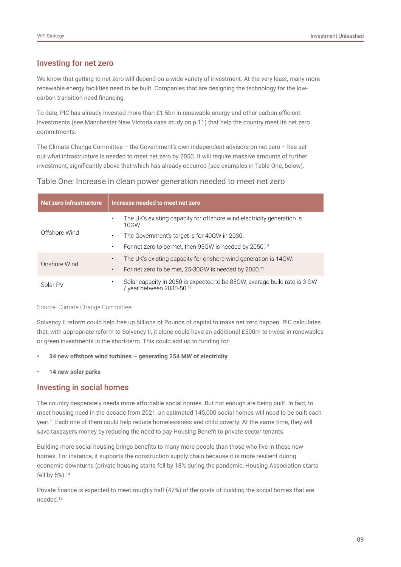#### Investing for net zero

We know that getting to net zero will depend on a wide variety of investment. At the very least, many more renewable energy facilities need to be built. Companies that are designing the technology for the lowcarbon transition need financing.

To date, PIC has already invested more than £1.5bn in renewable energy and other carbon efficient investments (see Manchester New Victoria case study on p.11) that help the country meet its net zero commitments.

The Climate Change Committee – the Government's own independent advisors on net zero – has set out what infrastructure is needed to meet net zero by 2050. It will require massive amounts of further investment, significantly above that which has already occurred (see examples in Table One, below).

#### Table One: Increase in clean power generation needed to meet net zero

| <b>Net zero infrastructure</b> | Increase needed to meet net zero                                                                            |
|--------------------------------|-------------------------------------------------------------------------------------------------------------|
|                                | The UK's existing capacity for offshore wind electricity generation is<br>$\bullet$<br>10GW.                |
| Offshore Wind                  | The Government's target is for 40GW in 2030.<br>٠                                                           |
|                                | For net zero to be met, then 95GW is needed by 2050. <sup>10</sup><br>$\bullet$                             |
| Onshore Wind                   | The UK's existing capacity for onshore wind generation is 14GW.<br>$\bullet$                                |
|                                | For net zero to be met, 25-30GW is needed by 2050. <sup>11</sup><br>$\bullet$                               |
| Solar PV                       | Solar capacity in 2050 is expected to be 85GW, average build rate is 3 GW<br>٠<br>/ year between 2030-50.12 |

#### Source: Climate Change Committee

Solvency II reform could help free up billions of Pounds of capital to make net zero happen. PIC calculates that, with appropriate reform to Solvency II, it alone could have an additional £500m to invest in renewables or green investments in the short-term. This could add up to funding for:

- **• 34 new offshore wind turbines generating 254 MW of electricity**
- **• 14 new solar parks**

#### Investing in social homes

The country desperately needs more affordable social homes. But not enough are being built. In fact, to meet housing need in the decade from 2021, an estimated 145,000 social homes will need to be built each year.13 Each one of them could help reduce homelessness and child poverty. At the same time, they will save taxpayers money by reducing the need to pay Housing Benefit to private sector tenants.

Building more social housing brings benefits to many more people than those who live in these new homes. For instance, it supports the construction supply chain because it is more resilient during economic downturns (private housing starts fell by 18% during the pandemic, Housing Association starts fell by 5%).<sup>14</sup>

Private finance is expected to meet roughly half (47%) of the costs of building the social homes that are needed.15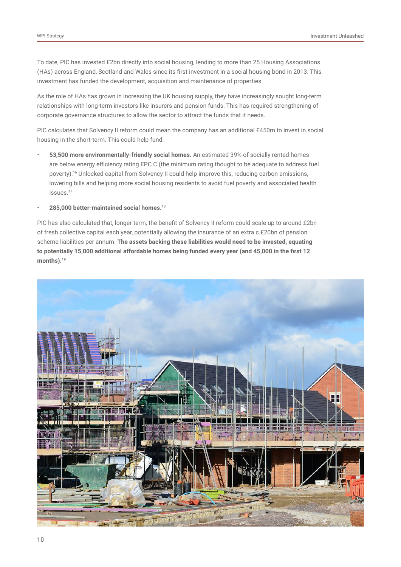To date, PIC has invested £2bn directly into social housing, lending to more than 25 Housing Associations (HAs) across England, Scotland and Wales since its first investment in a social housing bond in 2013. This investment has funded the development, acquisition and maintenance of properties.

As the role of HAs has grown in increasing the UK housing supply, they have increasingly sought long-term relationships with long-term investors like insurers and pension funds. This has required strengthening of corporate governance structures to allow the sector to attract the funds that it needs.

PIC calculates that Solvency II reform could mean the company has an additional £450m to invest in social housing in the short-term. This could help fund:

- **53,500 more environmentally-friendly social homes.** An estimated 39% of socially rented homes are below energy efficiency rating EPC C (the minimum rating thought to be adequate to address fuel poverty).16 Unlocked capital from Solvency II could help improve this, reducing carbon emissions, lowering bills and helping more social housing residents to avoid fuel poverty and associated health issues.<sup>17</sup>
- **285,000 better-maintained social homes.**<sup>18</sup>

PIC has also calculated that, longer term, the benefit of Solvency II reform could scale up to around £2bn of fresh collective capital each year, potentially allowing the insurance of an extra c.£20bn of pension scheme liabilities per annum. **The assets backing these liabilities would need to be invested, equating to potentially 15,000 additional affordable homes being funded every year (and 45,000 in the first 12 months).19**

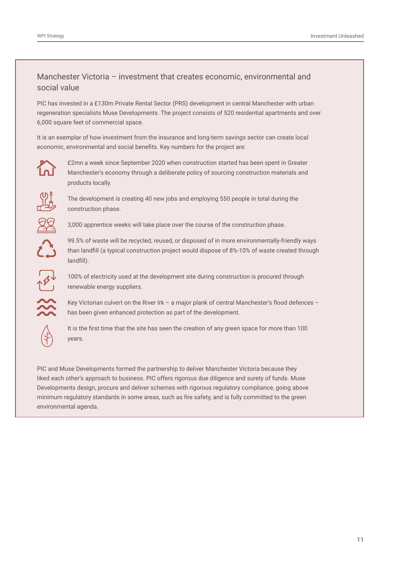#### Manchester Victoria – investment that creates economic, environmental and social value

PIC has invested in a £130m Private Rental Sector (PRS) development in central Manchester with urban regeneration specialists Muse Developments. The project consists of 520 residential apartments and over 6,000 square feet of commercial space.

It is an exemplar of how investment from the insurance and long-term savings sector can create local economic, environmental and social benefits. Key numbers for the project are:



£2mn a week since September 2020 when construction started has been spent in Greater Manchester's economy through a deliberate policy of sourcing construction materials and products locally.



The development is creating 40 new jobs and employing 550 people in total during the construction phase.



3,000 apprentice weeks will take place over the course of the construction phase.



99.5% of waste will be recycled, reused, or disposed of in more environmentally-friendly ways than landfill (a typical construction project would dispose of 8%-10% of waste created through landfill).



100% of electricity used at the development site during construction is procured through renewable energy suppliers.

Key Victorian culvert on the River Irk – a major plank of central Manchester's flood defences – has been given enhanced protection as part of the development.



It is the first time that the site has seen the creation of any green space for more than 100 years.

PIC and Muse Developments formed the partnership to deliver Manchester Victoria because they liked each other's approach to business. PIC offers rigorous due diligence and surety of funds. Muse Developments design, procure and deliver schemes with rigorous regulatory compliance, going above minimum regulatory standards in some areas, such as fire safety, and is fully committed to the green environmental agenda.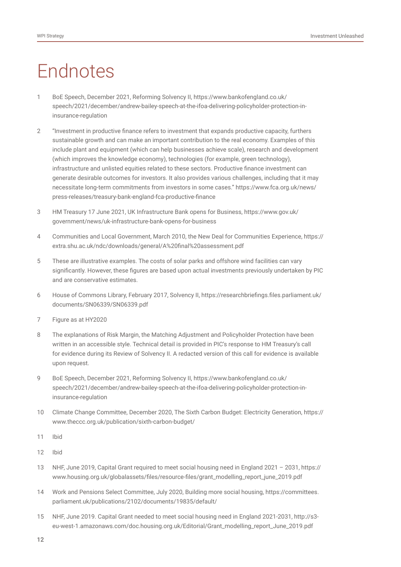# Endnotes

- 1 BoE Speech, December 2021, Reforming Solvency II, https://www.bankofengland.co.uk/ speech/2021/december/andrew-bailey-speech-at-the-ifoa-delivering-policyholder-protection-ininsurance-regulation
- 2 "Investment in productive finance refers to investment that expands productive capacity, furthers sustainable growth and can make an important contribution to the real economy. Examples of this include plant and equipment (which can help businesses achieve scale), research and development (which improves the knowledge economy), technologies (for example, green technology), infrastructure and unlisted equities related to these sectors. Productive finance investment can generate desirable outcomes for investors. It also provides various challenges, including that it may necessitate long-term commitments from investors in some cases." https://www.fca.org.uk/news/ press-releases/treasury-bank-england-fca-productive-finance
- 3 HM Treasury 17 June 2021, UK Infrastructure Bank opens for Business, https://www.gov.uk/ government/news/uk-infrastructure-bank-opens-for-business
- 4 Communities and Local Government, March 2010, the New Deal for Communities Experience, https:// extra.shu.ac.uk/ndc/downloads/general/A%20final%20assessment.pdf
- 5 These are illustrative examples. The costs of solar parks and offshore wind facilities can vary significantly. However, these figures are based upon actual investments previously undertaken by PIC and are conservative estimates.
- 6 House of Commons Library, February 2017, Solvency II, [https://researchbriefings.files.parliament.uk/](https://researchbriefings.files.parliament.uk/documents/SN06339/SN06339.pdf) [documents/SN06339/SN06339.pdf](https://researchbriefings.files.parliament.uk/documents/SN06339/SN06339.pdf)
- 7 Figure as at HY2020
- 8 The explanations of Risk Margin, the Matching Adjustment and Policyholder Protection have been written in an accessible style. Technical detail is provided in PIC's response to HM Treasury's call for evidence during its Review of Solvency II. A redacted version of this call for evidence is available upon request.
- 9 BoE Speech, December 2021, Reforming Solvency II, [https://www.bankofengland.co.uk/](https://www.bankofengland.co.uk/speech/2021/december/andrew-bailey-speech-at-the-ifoa-delivering-policyholder-protection-in-insurance-regulation) [speech/2021/december/andrew-bailey-speech-at-the-ifoa-delivering-policyholder-protection-in](https://www.bankofengland.co.uk/speech/2021/december/andrew-bailey-speech-at-the-ifoa-delivering-policyholder-protection-in-insurance-regulation)[insurance-regulation](https://www.bankofengland.co.uk/speech/2021/december/andrew-bailey-speech-at-the-ifoa-delivering-policyholder-protection-in-insurance-regulation)
- 10 Climate Change Committee, December 2020, The Sixth Carbon Budget: Electricity Generation, [https://](https://www.theccc.org.uk/publication/sixth-carbon-budget/) [www.theccc.org.uk/publication/sixth-carbon-budget/](https://www.theccc.org.uk/publication/sixth-carbon-budget/)
- 11 Ibid
- 12 Ibid
- 13 NHF, June 2019, Capital Grant required to meet social housing need in England 2021 2031, https:// www.housing.org.uk/globalassets/files/resource-files/grant\_modelling\_report\_june\_2019.pdf
- 14 Work and Pensions Select Committee, July 2020, Building more social housing, https://committees. parliament.uk/publications/2102/documents/19835/default/
- 15 NHF, June 2019. Capital Grant needed to meet social housing need in England 2021-2031, http://s3 eu-west-1.amazonaws.com/doc.housing.org.uk/Editorial/Grant\_modelling\_report\_June\_2019.pdf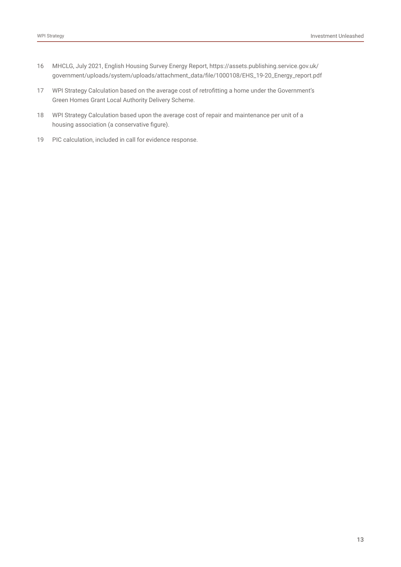- 16 MHCLG, July 2021, English Housing Survey Energy Report, https://assets.publishing.service.gov.uk/ government/uploads/system/uploads/attachment\_data/file/1000108/EHS\_19-20\_Energy\_report.pdf
- 17 WPI Strategy Calculation based on the average cost of retrofitting a home under the Government's Green Homes Grant Local Authority Delivery Scheme.
- 18 WPI Strategy Calculation based upon the average cost of repair and maintenance per unit of a housing association (a conservative figure).
- 19 PIC calculation, included in call for evidence response.